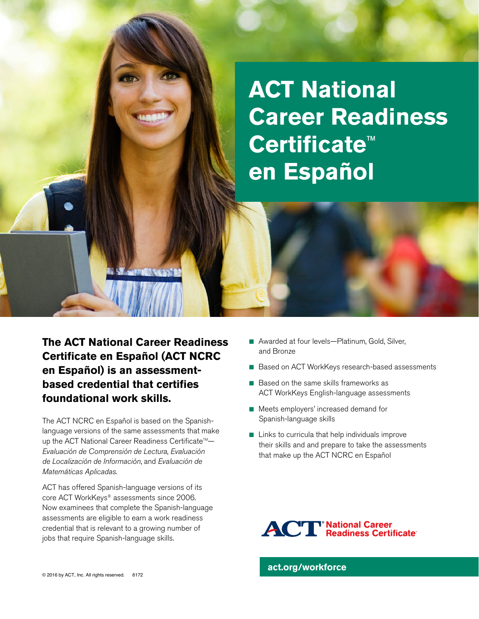## **ACT National Career Readiness Certificate**™ **en Español**

**The ACT National Career Readiness Certificate en Español (ACT NCRC en Español) is an assessmentbased credential that certifies foundational work skills.** 

The ACT NCRC en Español is based on the Spanishlanguage versions of the same assessments that make up the ACT National Career Readiness Certificate™-*Evaluación de Comprensión de Lectura*, *Evaluación de Localización de Información*, and *Evaluación de Matemáticas Aplicadas*.

ACT has offered Spanish-language versions of its core ACT WorkKeys® assessments since 2006. Now examinees that complete the Spanish-language assessments are eligible to earn a work readiness credential that is relevant to a growing number of jobs that require Spanish-language skills.

- Awarded at four levels—Platinum, Gold, Silver, and Bronze
- Based on ACT WorkKeys research-based assessments
- $\blacksquare$  Based on the same skills frameworks as ACT WorkKeys English-language assessments
- Meets employers' increased demand for Spanish-language skills
- $\blacksquare$  Links to curricula that help individuals improve their skills and and prepare to take the assessments that make up the ACT NCRC en Español